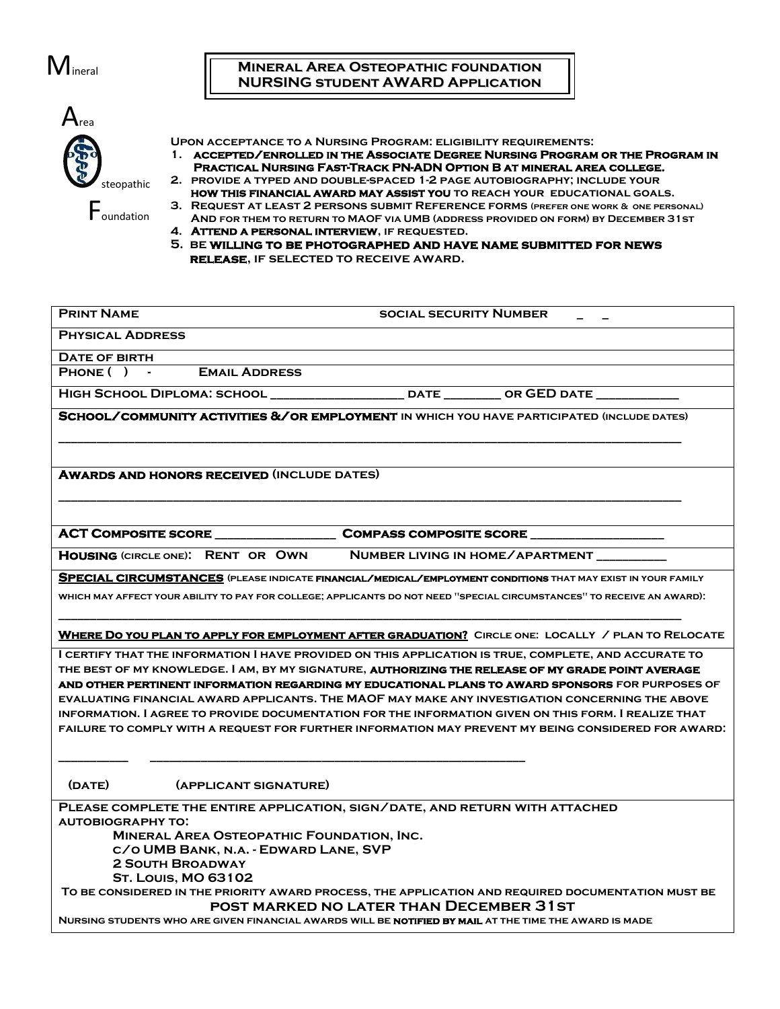

## **Mineral Area Osteopathic foundation NURSING student AWARD Application**

| rea        |
|------------|
| steopathic |
| oundation  |

**Upon acceptance to a Nursing Program: eligibility requirements:**

- **1. accepted/enrolled in the Associate Degree Nursing Program or the Program in Practical Nursing Fast-Track PN-ADN Option B at mineral area college.**
- **2. provide a typed and double-spaced 1-2 page autobiography; include your how this financial award may assist you to reach your educational goals.**
- **3. Request at least 2 persons submit Reference forms (prefer one work & one personal) And for them to return to MAOF via UMB (address provided on form) by December 31st**
- **4. Attend a personal interview, if requested.**
- **5. be willing to be photographed and have name submitted for news release, if selected to receive award.**

| <b>PHYSICAL ADDRESS</b>                                                                                                                                                                                                                                                                                                                                                                                                                                                                                                           |
|-----------------------------------------------------------------------------------------------------------------------------------------------------------------------------------------------------------------------------------------------------------------------------------------------------------------------------------------------------------------------------------------------------------------------------------------------------------------------------------------------------------------------------------|
| DATE OF BIRTH                                                                                                                                                                                                                                                                                                                                                                                                                                                                                                                     |
| PHONE ( ) - EMAIL ADDRESS                                                                                                                                                                                                                                                                                                                                                                                                                                                                                                         |
|                                                                                                                                                                                                                                                                                                                                                                                                                                                                                                                                   |
| <b>SCHOOL/COMMUNITY ACTIVITIES &amp; / OR EMPLOYMENT IN WHICH YOU HAVE PARTICIPATED (INCLUDE DATES)</b>                                                                                                                                                                                                                                                                                                                                                                                                                           |
| <b>AWARDS AND HONORS RECEIVED (INCLUDE DATES)</b>                                                                                                                                                                                                                                                                                                                                                                                                                                                                                 |
| ACT COMPOSITE SCORE _______________________________COMPASS COMPOSITE SCORE ___________                                                                                                                                                                                                                                                                                                                                                                                                                                            |
| HOUSING (CIRCLE ONE): RENT OR OWN NUMBER LIVING IN HOME/APARTMENT                                                                                                                                                                                                                                                                                                                                                                                                                                                                 |
| SPECIAL CIRCUMSTANCES (PLEASE INDICATE FINANCIAL/MEDICAL/EMPLOYMENT CONDITIONS THAT MAY EXIST IN YOUR FAMILY                                                                                                                                                                                                                                                                                                                                                                                                                      |
| WHICH MAY AFFECT YOUR ABILITY TO PAY FOR COLLEGE, APPLICANTS DO NOT NEED "SPECIAL CIRCUMSTANCES" TO RECEIVE AN AWARD).                                                                                                                                                                                                                                                                                                                                                                                                            |
| WHERE DO YOU PLAN TO APPLY FOR EMPLOYMENT AFTER GRADUATION? CIRCLE ONE: LOCALLY / PLAN TO RELOCATE                                                                                                                                                                                                                                                                                                                                                                                                                                |
| I CERTIFY THAT THE INFORMATION I HAVE PROVIDED ON THIS APPLICATION IS TRUE, COMPLETE, AND ACCURATE TO<br>THE BEST OF MY KNOWLEDGE. I AM, BY MY SIGNATURE, <b>AUTHORIZING THE RELEASE OF MY GRADE POINT AVERAGE</b><br>AND OTHER PERTINENT INFORMATION REGARDING MY EDUCATIONAL PLANS TO AWARD SPONSORS FOR PURPOSES OF<br>EVALUATING FINANCIAL AWARD APPLICANTS. THE MAOF MAY MAKE ANY INVESTIGATION CONCERNING THE ABOVE<br>INFORMATION. I AGREE TO PROVIDE DOCUMENTATION FOR THE INFORMATION GIVEN ON THIS FORM. I REALIZE THAT |
| FAILURE TO COMPLY WITH A REQUEST FOR FURTHER INFORMATION MAY PREVENT MY BEING CONSIDERED FOR AWARD.                                                                                                                                                                                                                                                                                                                                                                                                                               |
| (DATE)<br>(APPLICANT SIGNATURE)                                                                                                                                                                                                                                                                                                                                                                                                                                                                                                   |
| PLEASE COMPLETE THE ENTIRE APPLICATION, SIGN/DATE, AND RETURN WITH ATTACHED<br><b>AUTOBIOGRAPHY TO:</b><br><b>MINERAL AREA OSTEOPATHIC FOUNDATION, INC.</b><br>C/O UMB BANK, N.A. - EDWARD LANE, SVP<br><b>2 SOUTH BROADWAY</b><br><b>ST. Louis, MO 63102</b><br>TO BE CONSIDERED IN THE PRIORITY AWARD PROCESS, THE APPLICATION AND REQUIRED DOCUMENTATION MUST BE<br><b>POST MARKED NO LATER THAN DECEMBER 31ST</b><br>NURSING STUDENTS WHO ARE GIVEN FINANCIAL AWARDS WILL BE NOTIFIED BY MAIL AT THE TIME THE AWARD IS MADE   |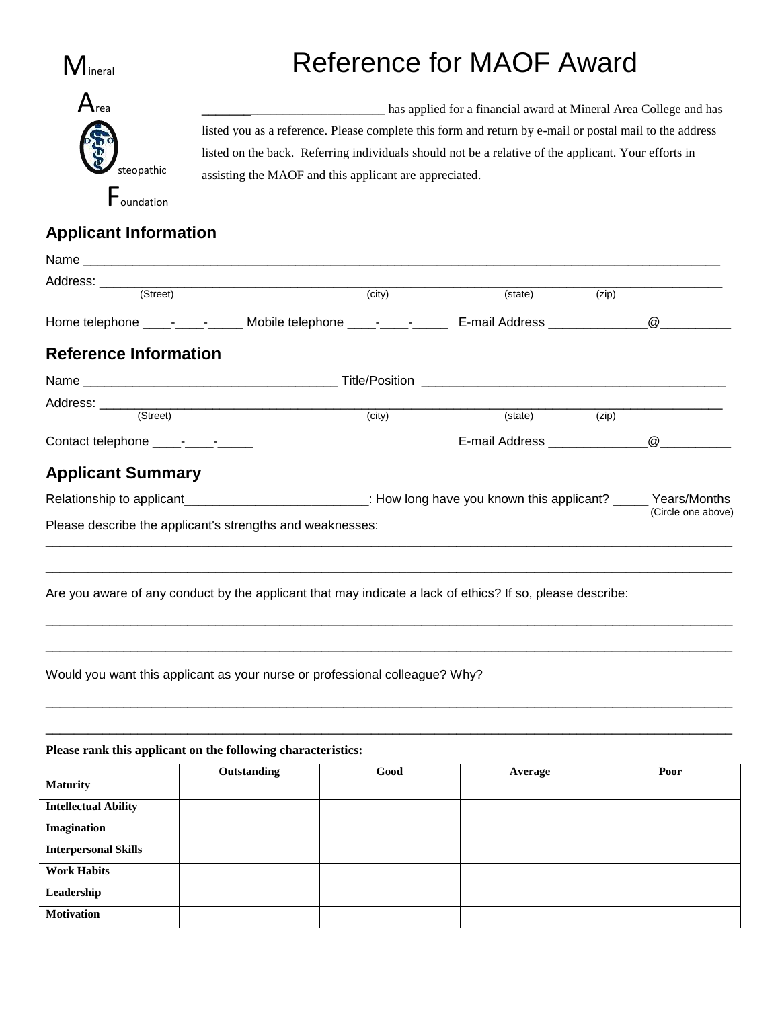

## Reference for MAOF Award



\_\_\_\_\_\_\_\_\_\_\_\_\_\_\_\_\_\_\_\_\_\_\_\_\_\_\_\_ has applied for a financial award at Mineral Area College and has listed you as a reference. Please complete this form and return by e-mail or postal mail to the address listed on the back. Referring individuals should not be a relative of the applicant. Your efforts in assisting the MAOF and this applicant are appreciated.

**Applicant Information**

| Name                         |                                                                                                                          |        |         |       |                       |
|------------------------------|--------------------------------------------------------------------------------------------------------------------------|--------|---------|-------|-----------------------|
| Address: ______<br>(Street)  |                                                                                                                          | (city) | (state) | (zip) |                       |
|                              | Home telephone _____-___________ Mobile telephone _____-______________ E-mail Address ______________                     |        |         |       | $\omega$ and $\omega$ |
| <b>Reference Information</b> |                                                                                                                          |        |         |       |                       |
|                              |                                                                                                                          |        |         |       |                       |
|                              |                                                                                                                          |        |         |       |                       |
|                              |                                                                                                                          | (city) | (state) | (zip) |                       |
|                              |                                                                                                                          |        |         |       |                       |
| <b>Applicant Summary</b>     |                                                                                                                          |        |         |       |                       |
|                              | Relationship to applicant__________________________________: How long have you known this applicant? ______ Years/Months |        |         |       |                       |
|                              | Please describe the applicant's strengths and weaknesses:                                                                |        |         |       | (Circle one above)    |
|                              | Would you want this applicant as your nurse or professional colleague? Why?                                              |        |         |       |                       |
|                              | Please rank this applicant on the following characteristics:<br>Outstanding                                              | Good   | Average |       | Poor                  |
| <b>Maturity</b>              |                                                                                                                          |        |         |       |                       |
| <b>Intellectual Ability</b>  |                                                                                                                          |        |         |       |                       |
| <b>Imagination</b>           |                                                                                                                          |        |         |       |                       |
| <b>Interpersonal Skills</b>  |                                                                                                                          |        |         |       |                       |
| <b>Work Habits</b>           |                                                                                                                          |        |         |       |                       |
| Leadership                   |                                                                                                                          |        |         |       |                       |
| <b>Motivation</b>            |                                                                                                                          |        |         |       |                       |